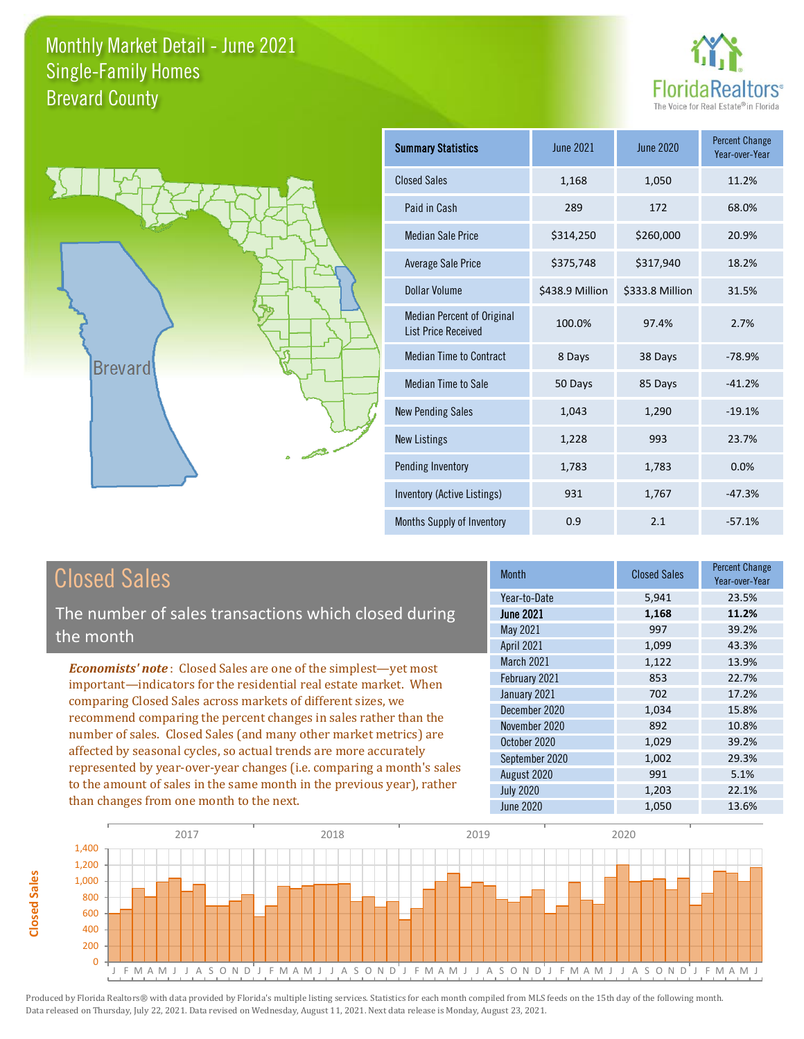



| <b>Summary Statistics</b>                                       | June 2021       | June 2020       | <b>Percent Change</b><br>Year-over-Year |
|-----------------------------------------------------------------|-----------------|-----------------|-----------------------------------------|
| <b>Closed Sales</b>                                             | 1,168           | 1,050           | 11.2%                                   |
| Paid in Cash                                                    | 289             | 172             | 68.0%                                   |
| <b>Median Sale Price</b>                                        | \$314,250       | \$260,000       | 20.9%                                   |
| Average Sale Price                                              | \$375,748       | \$317,940       | 18.2%                                   |
| <b>Dollar Volume</b>                                            | \$438.9 Million | \$333.8 Million | 31.5%                                   |
| <b>Median Percent of Original</b><br><b>List Price Received</b> | 100.0%          | 97.4%           | 2.7%                                    |
| <b>Median Time to Contract</b>                                  | 8 Days          | 38 Days         | $-78.9%$                                |
| Median Time to Sale                                             | 50 Days         | 85 Days         | $-41.2%$                                |
| <b>New Pending Sales</b>                                        | 1,043           | 1,290           | $-19.1%$                                |
| <b>New Listings</b>                                             | 1,228           | 993             | 23.7%                                   |
| Pending Inventory                                               | 1,783           | 1,783           | 0.0%                                    |
| Inventory (Active Listings)                                     | 931             | 1,767           | $-47.3%$                                |
| Months Supply of Inventory                                      | 0.9             | 2.1             | $-57.1%$                                |

# Closed Sales

**Closed Sales**

**Closed Sales** 

The number of sales transactions which closed during the month

*Economists' note* : Closed Sales are one of the simplest—yet most important—indicators for the residential real estate market. When comparing Closed Sales across markets of different sizes, we recommend comparing the percent changes in sales rather than the number of sales. Closed Sales (and many other market metrics) are affected by seasonal cycles, so actual trends are more accurately represented by year-over-year changes (i.e. comparing a month's sales to the amount of sales in the same month in the previous year), rather than changes from one month to the next.

| <b>Month</b>     | <b>Closed Sales</b> | <b>Percent Change</b><br>Year-over-Year |
|------------------|---------------------|-----------------------------------------|
| Year-to-Date     | 5,941               | 23.5%                                   |
| <b>June 2021</b> | 1,168               | 11.2%                                   |
| <b>May 2021</b>  | 997                 | 39.2%                                   |
| April 2021       | 1,099               | 43.3%                                   |
| March 2021       | 1,122               | 13.9%                                   |
| February 2021    | 853                 | 22.7%                                   |
| January 2021     | 702                 | 17.2%                                   |
| December 2020    | 1,034               | 15.8%                                   |
| November 2020    | 892                 | 10.8%                                   |
| October 2020     | 1,029               | 39.2%                                   |
| September 2020   | 1,002               | 29.3%                                   |
| August 2020      | 991                 | 5.1%                                    |
| <b>July 2020</b> | 1,203               | 22.1%                                   |
| <b>June 2020</b> | 1,050               | 13.6%                                   |

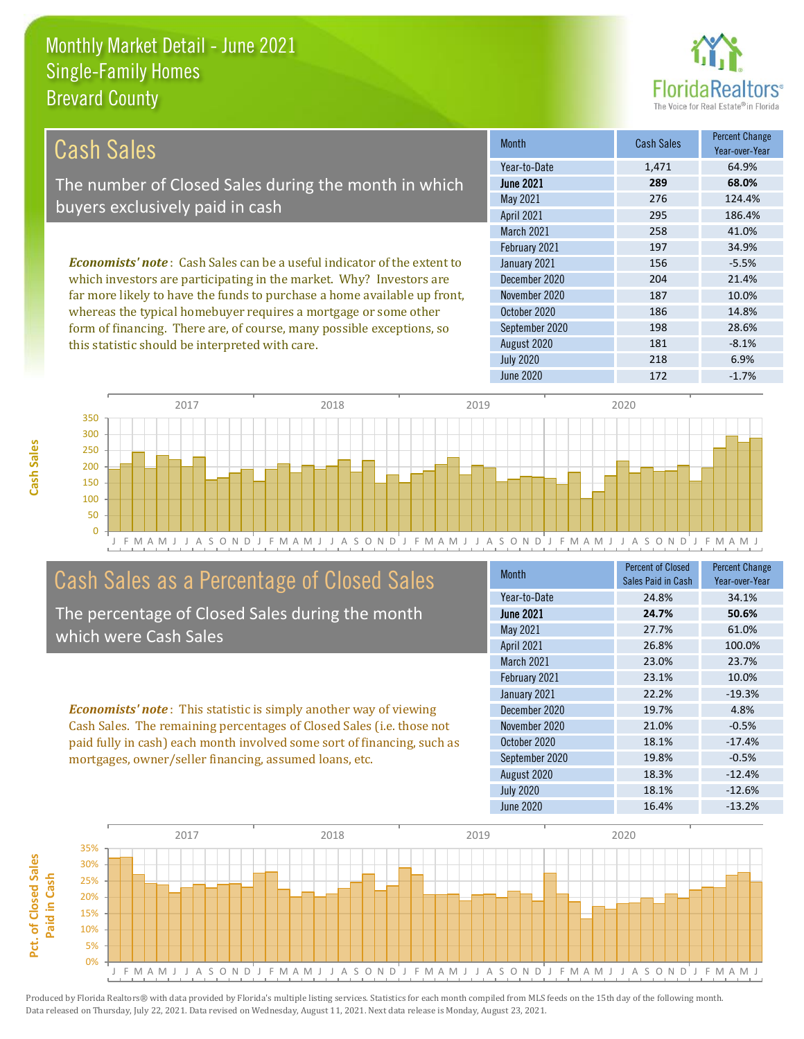this statistic should be interpreted with care.



181 -8.1%

| Cash Sales                                                                     | <b>Month</b>      | <b>Cash Sales</b> | <b>Percent Change</b><br>Year-over-Year |
|--------------------------------------------------------------------------------|-------------------|-------------------|-----------------------------------------|
|                                                                                | Year-to-Date      | 1,471             | 64.9%                                   |
| The number of Closed Sales during the month in which                           | <b>June 2021</b>  | 289               | 68.0%                                   |
| buyers exclusively paid in cash                                                | May 2021          | 276               | 124.4%                                  |
|                                                                                | <b>April 2021</b> | 295               | 186.4%                                  |
|                                                                                | <b>March 2021</b> | 258               | 41.0%                                   |
|                                                                                | February 2021     | 197               | 34.9%                                   |
| <b>Economists' note:</b> Cash Sales can be a useful indicator of the extent to | January 2021      | 156               | $-5.5%$                                 |
| which investors are participating in the market. Why? Investors are            | December 2020     | 204               | 21.4%                                   |
| far more likely to have the funds to purchase a home available up front,       | November 2020     | 187               | 10.0%                                   |
| whereas the typical homebuyer requires a mortgage or some other                | October 2020      | 186               | 14.8%                                   |
| form of financing. There are, of course, many possible exceptions, so          | September 2020    | 198               | 28.6%                                   |

August 2020



# Cash Sales as a Percentage of Closed Sales

The percentage of Closed Sales during the month which were Cash Sales

*Economists' note* : This statistic is simply another way of viewing Cash Sales. The remaining percentages of Closed Sales (i.e. those not paid fully in cash) each month involved some sort of financing, such as mortgages, owner/seller financing, assumed loans, etc.

| <b>Month</b>      | <b>Percent of Closed</b><br>Sales Paid in Cash | <b>Percent Change</b><br>Year-over-Year |
|-------------------|------------------------------------------------|-----------------------------------------|
| Year-to-Date      | 24.8%                                          | 34.1%                                   |
| <b>June 2021</b>  | 24.7%                                          | 50.6%                                   |
| May 2021          | 27.7%                                          | 61.0%                                   |
| April 2021        | 26.8%                                          | 100.0%                                  |
| <b>March 2021</b> | 23.0%                                          | 23.7%                                   |
| February 2021     | 23.1%                                          | 10.0%                                   |
| January 2021      | 22.2%                                          | $-19.3%$                                |
| December 2020     | 19.7%                                          | 4.8%                                    |
| November 2020     | 21.0%                                          | $-0.5%$                                 |
| October 2020      | 18.1%                                          | $-17.4%$                                |
| September 2020    | 19.8%                                          | $-0.5%$                                 |
| August 2020       | 18.3%                                          | $-12.4%$                                |
| <b>July 2020</b>  | 18.1%                                          | $-12.6%$                                |
| June 2020         | 16.4%                                          | $-13.2%$                                |

July 2020 218 6.9%

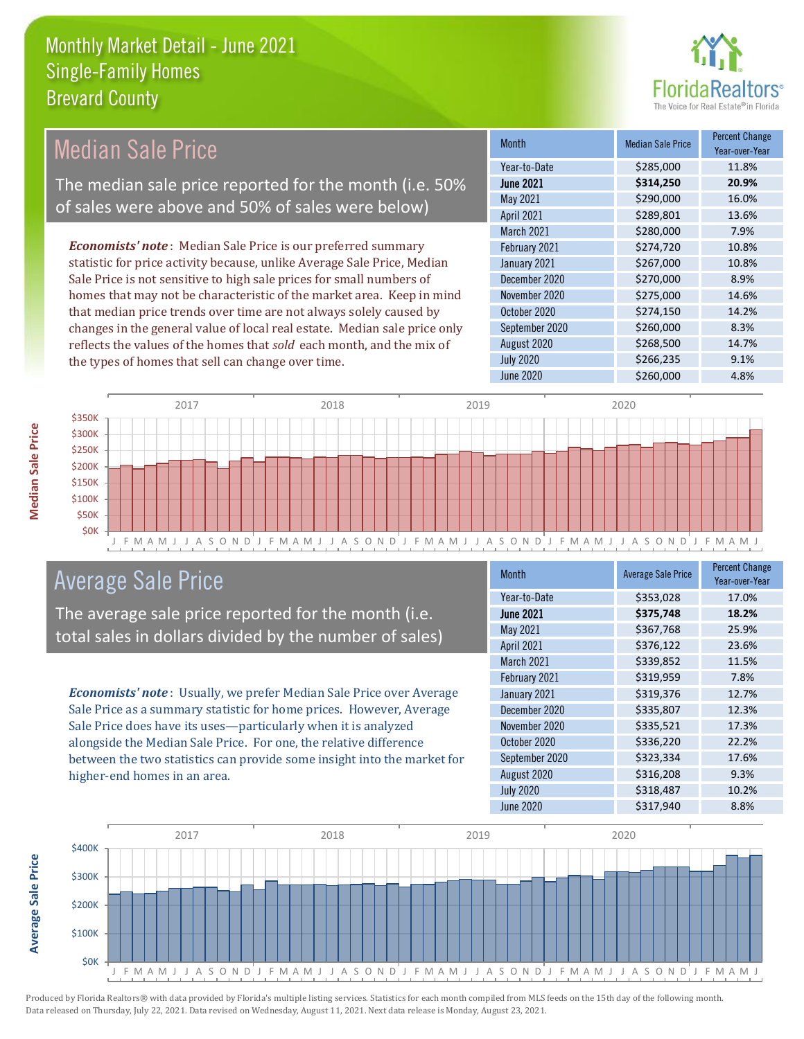

#### *Economists' note* : Median Sale Price is our preferred summary statistic for price activity because, unlike Average Sale Price, Median Sale Price is not sensitive to high sale prices for small numbers of Median Sale Price The median sale price reported for the month (i.e. 50% of sales were above and 50% of sales were below)

homes that may not be characteristic of the market area. Keep in mind that median price trends over time are not always solely caused by changes in the general value of local real estate. Median sale price only reflects the values of the homes that *sold* each month, and the mix of the types of homes that sell can change over time.

| <b>Month</b>      | <b>Median Sale Price</b> | <b>Percent Change</b><br>Year-over-Year |
|-------------------|--------------------------|-----------------------------------------|
| Year-to-Date      | \$285,000                | 11.8%                                   |
| <b>June 2021</b>  | \$314,250                | 20.9%                                   |
| May 2021          | \$290,000                | 16.0%                                   |
| April 2021        | \$289,801                | 13.6%                                   |
| <b>March 2021</b> | \$280,000                | 7.9%                                    |
| February 2021     | \$274,720                | 10.8%                                   |
| January 2021      | \$267,000                | 10.8%                                   |
| December 2020     | \$270,000                | 8.9%                                    |
| November 2020     | \$275,000                | 14.6%                                   |
| October 2020      | \$274,150                | 14.2%                                   |
| September 2020    | \$260,000                | 8.3%                                    |
| August 2020       | \$268,500                | 14.7%                                   |
| <b>July 2020</b>  | \$266,235                | 9.1%                                    |
| <b>June 2020</b>  | \$260,000                | 4.8%                                    |



# Average Sale Price

The average sale price reported for the month (i.e. total sales in dollars divided by the number of sales)

*Economists' note* : Usually, we prefer Median Sale Price over Average Sale Price as a summary statistic for home prices. However, Average Sale Price does have its uses—particularly when it is analyzed alongside the Median Sale Price. For one, the relative difference between the two statistics can provide some insight into the market for higher-end homes in an area.

| <b>Month</b>      | <b>Average Sale Price</b> | <b>Percent Change</b><br>Year-over-Year |
|-------------------|---------------------------|-----------------------------------------|
| Year-to-Date      | \$353,028                 | 17.0%                                   |
| <b>June 2021</b>  | \$375,748                 | 18.2%                                   |
| May 2021          | \$367,768                 | 25.9%                                   |
| <b>April 2021</b> | \$376,122                 | 23.6%                                   |
| <b>March 2021</b> | \$339,852                 | 11.5%                                   |
| February 2021     | \$319,959                 | 7.8%                                    |
| January 2021      | \$319,376                 | 12.7%                                   |
| December 2020     | \$335,807                 | 12.3%                                   |
| November 2020     | \$335,521                 | 17.3%                                   |
| October 2020      | \$336,220                 | 22.2%                                   |
| September 2020    | \$323,334                 | 17.6%                                   |
| August 2020       | \$316,208                 | 9.3%                                    |
| <b>July 2020</b>  | \$318,487                 | 10.2%                                   |
| June 2020         | \$317,940                 | 8.8%                                    |



**Average Sale Price**

**Average Sale Price**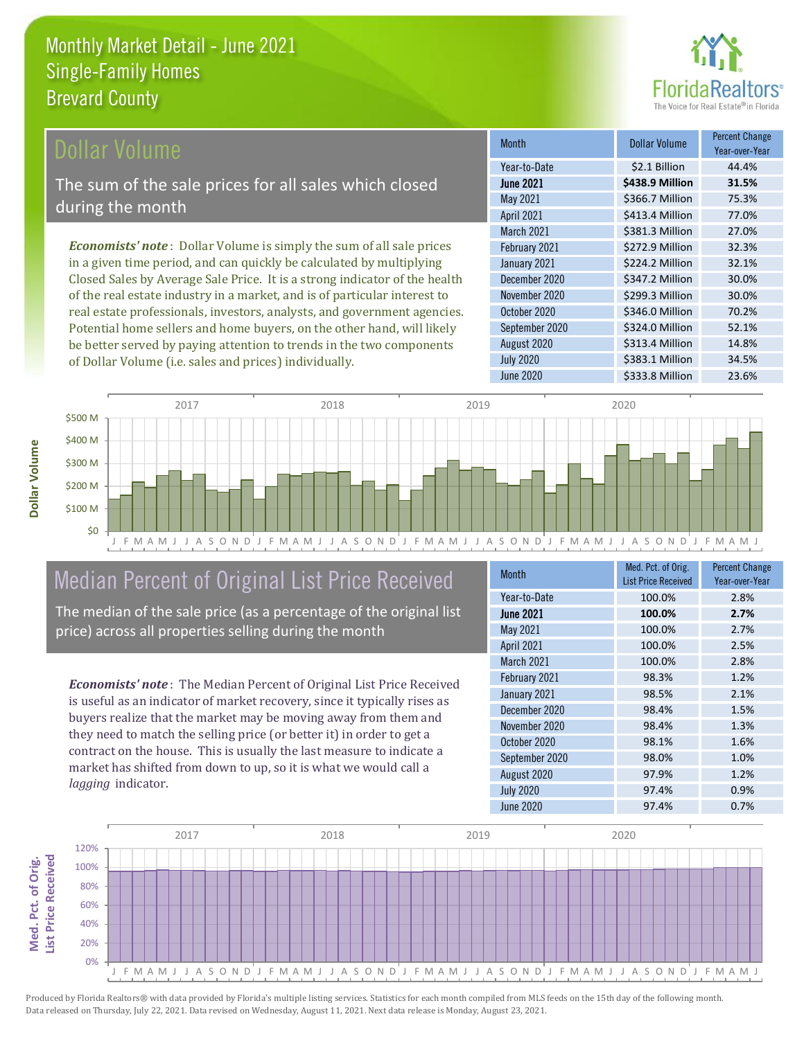

### ollar Volume

The sum of the sale prices for all sales which closed during the month

*Economists' note* : Dollar Volume is simply the sum of all sale prices in a given time period, and can quickly be calculated by multiplying Closed Sales by Average Sale Price. It is a strong indicator of the health of the real estate industry in a market, and is of particular interest to real estate professionals, investors, analysts, and government agencies. Potential home sellers and home buyers, on the other hand, will likely be better served by paying attention to trends in the two components of Dollar Volume (i.e. sales and prices) individually.

| <b>Month</b>      | <b>Dollar Volume</b> | <b>Percent Change</b><br>Year-over-Year |
|-------------------|----------------------|-----------------------------------------|
| Year-to-Date      | \$2.1 Billion        | 44.4%                                   |
| <b>June 2021</b>  | \$438.9 Million      | 31.5%                                   |
| May 2021          | \$366.7 Million      | 75.3%                                   |
| <b>April 2021</b> | \$413.4 Million      | 77.0%                                   |
| <b>March 2021</b> | \$381.3 Million      | 27.0%                                   |
| February 2021     | \$272.9 Million      | 32.3%                                   |
| January 2021      | \$224.2 Million      | 32.1%                                   |
| December 2020     | \$347.2 Million      | 30.0%                                   |
| November 2020     | \$299.3 Million      | 30.0%                                   |
| October 2020      | \$346.0 Million      | 70.2%                                   |
| September 2020    | \$324.0 Million      | 52.1%                                   |
| August 2020       | \$313.4 Million      | 14.8%                                   |
| <b>July 2020</b>  | \$383.1 Million      | 34.5%                                   |
| <b>June 2020</b>  | \$333.8 Million      | 23.6%                                   |



# Median Percent of Original List Price Received

The median of the sale price (as a percentage of the original list price) across all properties selling during the month

*Economists' note* : The Median Percent of Original List Price Received is useful as an indicator of market recovery, since it typically rises as buyers realize that the market may be moving away from them and they need to match the selling price (or better it) in order to get a contract on the house. This is usually the last measure to indicate a market has shifted from down to up, so it is what we would call a *lagging* indicator.

| <b>Month</b>      | Med. Pct. of Orig.<br><b>List Price Received</b> | <b>Percent Change</b><br>Year-over-Year |
|-------------------|--------------------------------------------------|-----------------------------------------|
| Year-to-Date      | 100.0%                                           | 2.8%                                    |
| <b>June 2021</b>  | 100.0%                                           | 2.7%                                    |
| May 2021          | 100.0%                                           | 2.7%                                    |
| <b>April 2021</b> | 100.0%                                           | 2.5%                                    |
| March 2021        | 100.0%                                           | 2.8%                                    |
| February 2021     | 98.3%                                            | 1.2%                                    |
| January 2021      | 98.5%                                            | 2.1%                                    |
| December 2020     | 98.4%                                            | 1.5%                                    |
| November 2020     | 98.4%                                            | 1.3%                                    |
| October 2020      | 98.1%                                            | 1.6%                                    |
| September 2020    | 98.0%                                            | 1.0%                                    |
| August 2020       | 97.9%                                            | 1.2%                                    |
| <b>July 2020</b>  | 97.4%                                            | 0.9%                                    |
| <b>June 2020</b>  | 97.4%                                            | 0.7%                                    |



Produced by Florida Realtors® with data provided by Florida's multiple listing services. Statistics for each month compiled from MLS feeds on the 15th day of the following month. Data released on Thursday, July 22, 2021. Data revised on Wednesday, August 11, 2021. Next data release is Monday, August 23, 2021.

**Med. Pct. of Orig.** 

Med. Pct. of Orig.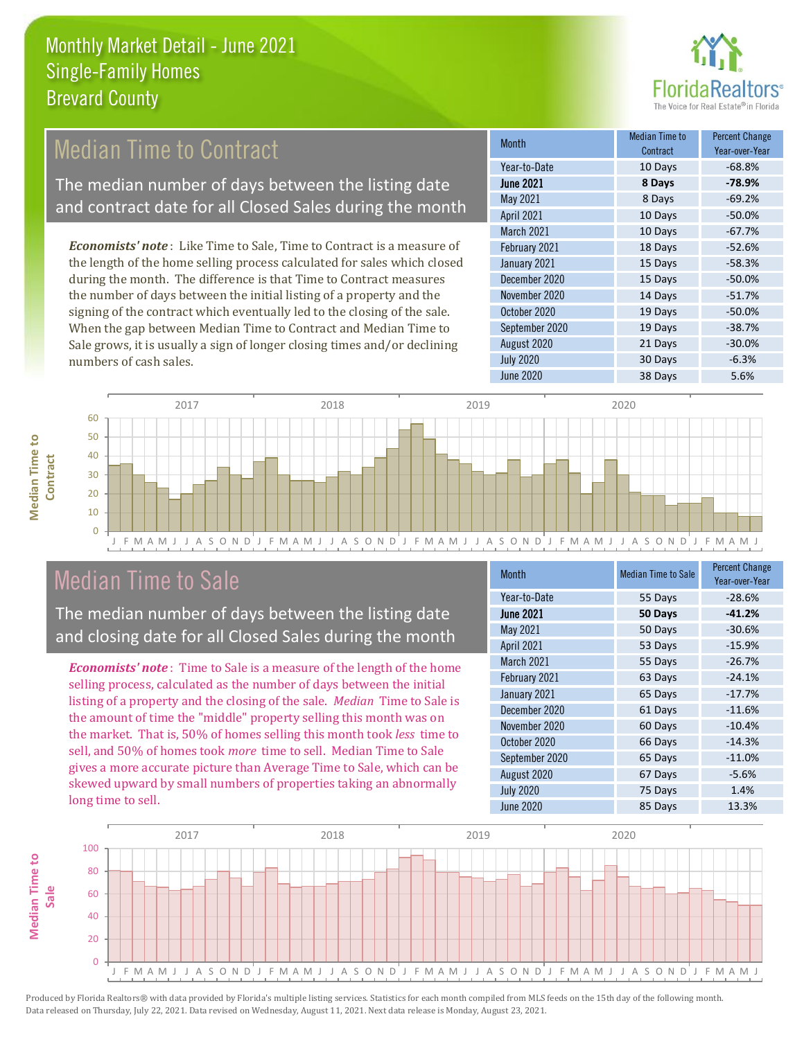

# Median Time to Contract

The median number of days between the listing date and contract date for all Closed Sales during the month

*Economists' note* : Like Time to Sale, Time to Contract is a measure of the length of the home selling process calculated for sales which closed during the month. The difference is that Time to Contract measures the number of days between the initial listing of a property and the signing of the contract which eventually led to the closing of the sale. When the gap between Median Time to Contract and Median Time to Sale grows, it is usually a sign of longer closing times and/or declining numbers of cash sales.

| <b>Month</b>      | Median Time to<br>Contract | <b>Percent Change</b><br>Year-over-Year |
|-------------------|----------------------------|-----------------------------------------|
| Year-to-Date      | 10 Days                    | $-68.8%$                                |
| <b>June 2021</b>  | 8 Days                     | $-78.9%$                                |
| May 2021          | 8 Days                     | $-69.2%$                                |
| <b>April 2021</b> | 10 Days                    | $-50.0%$                                |
| <b>March 2021</b> | 10 Days                    | $-67.7%$                                |
| February 2021     | 18 Days                    | $-52.6%$                                |
| January 2021      | 15 Days                    | $-58.3%$                                |
| December 2020     | 15 Days                    | $-50.0%$                                |
| November 2020     | 14 Days                    | $-51.7%$                                |
| October 2020      | 19 Days                    | $-50.0%$                                |
| September 2020    | 19 Days                    | $-38.7%$                                |
| August 2020       | 21 Days                    | $-30.0%$                                |
| <b>July 2020</b>  | 30 Days                    | $-6.3%$                                 |
| <b>June 2020</b>  | 38 Days                    | 5.6%                                    |





## Median Time to Sale

The median number of days between the listing date and closing date for all Closed Sales during the month

*Economists' note* : Time to Sale is a measure of the length of the home selling process, calculated as the number of days between the initial listing of a property and the closing of the sale. *Median* Time to Sale is the amount of time the "middle" property selling this month was on the market. That is, 50% of homes selling this month took *less* time to sell, and 50% of homes took *more* time to sell. Median Time to Sale gives a more accurate picture than Average Time to Sale, which can be skewed upward by small numbers of properties taking an abnormally long time to sell.

| <b>Month</b>      | <b>Median Time to Sale</b> | <b>Percent Change</b><br>Year-over-Year |
|-------------------|----------------------------|-----------------------------------------|
| Year-to-Date      | 55 Days                    | $-28.6%$                                |
| <b>June 2021</b>  | 50 Days                    | $-41.2%$                                |
| May 2021          | 50 Days                    | $-30.6%$                                |
| <b>April 2021</b> | 53 Days                    | $-15.9%$                                |
| <b>March 2021</b> | 55 Days                    | $-26.7%$                                |
| February 2021     | 63 Days                    | $-24.1%$                                |
| January 2021      | 65 Days                    | $-17.7%$                                |
| December 2020     | 61 Days                    | $-11.6%$                                |
| November 2020     | 60 Days                    | $-10.4%$                                |
| October 2020      | 66 Days                    | $-14.3%$                                |
| September 2020    | 65 Days                    | $-11.0%$                                |
| August 2020       | 67 Days                    | $-5.6%$                                 |
| <b>July 2020</b>  | 75 Days                    | 1.4%                                    |
| June 2020         | 85 Days                    | 13.3%                                   |

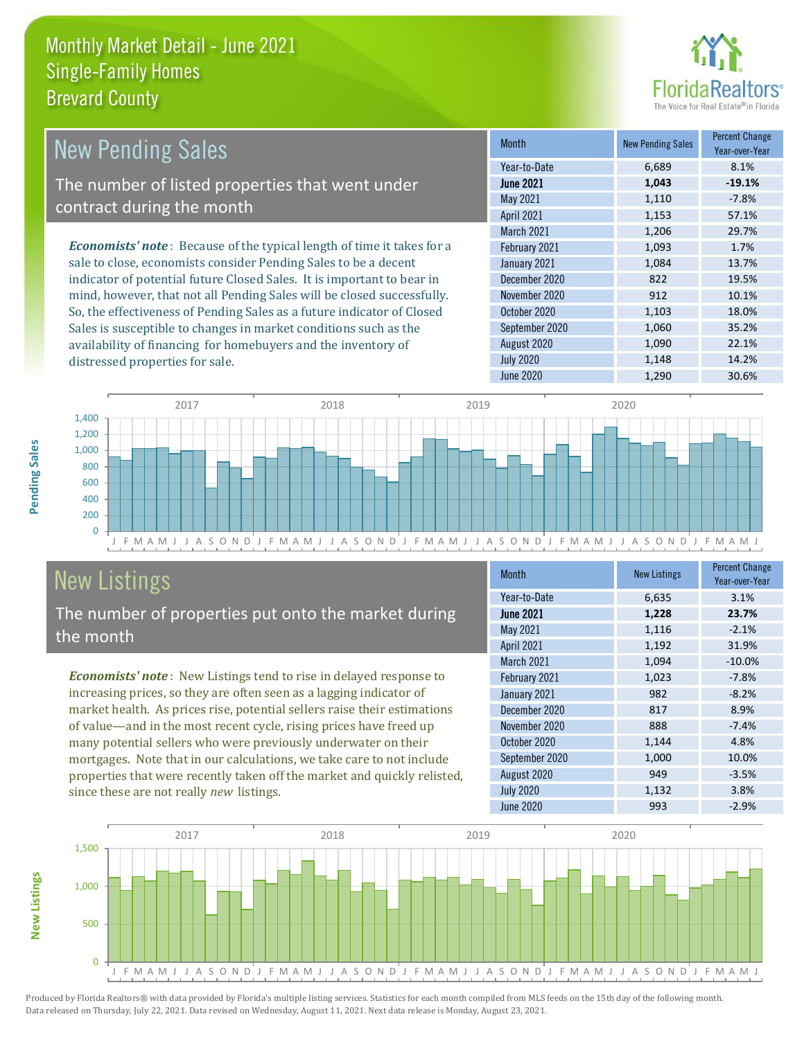distressed properties for sale.



| <b>New Pending Sales</b>                                                       | <b>Month</b>      | <b>New Pending Sales</b> | <b>Percent Change</b><br>Year-over-Year |
|--------------------------------------------------------------------------------|-------------------|--------------------------|-----------------------------------------|
|                                                                                | Year-to-Date      | 6,689                    | 8.1%                                    |
| The number of listed properties that went under                                | <b>June 2021</b>  | 1,043                    | $-19.1%$                                |
| contract during the month                                                      | May 2021          | 1,110                    | $-7.8%$                                 |
|                                                                                | <b>April 2021</b> | 1,153                    | 57.1%                                   |
|                                                                                | March 2021        | 1,206                    | 29.7%                                   |
| <b>Economists' note</b> : Because of the typical length of time it takes for a | February 2021     | 1,093                    | 1.7%                                    |
| sale to close, economists consider Pending Sales to be a decent                | January 2021      | 1,084                    | 13.7%                                   |
| indicator of potential future Closed Sales. It is important to bear in         | December 2020     | 822                      | 19.5%                                   |
| mind, however, that not all Pending Sales will be closed successfully.         | November 2020     | 912                      | 10.1%                                   |
| So, the effectiveness of Pending Sales as a future indicator of Closed         | October 2020      | 1,103                    | 18.0%                                   |
| Sales is susceptible to changes in market conditions such as the               | September 2020    | 1,060                    | 35.2%                                   |



# New Listings

The number of properties put onto the market during the month

availability of financing for homebuyers and the inventory of

*Economists' note* : New Listings tend to rise in delayed response to increasing prices, so they are often seen as a lagging indicator of market health. As prices rise, potential sellers raise their estimations of value—and in the most recent cycle, rising prices have freed up many potential sellers who were previously underwater on their mortgages. Note that in our calculations, we take care to not include properties that were recently taken off the market and quickly relisted, since these are not really *new* listings.

| <b>Month</b>      | <b>New Listings</b> | <b>Percent Change</b><br>Year-over-Year |
|-------------------|---------------------|-----------------------------------------|
| Year-to-Date      | 6,635               | 3.1%                                    |
| <b>June 2021</b>  | 1,228               | 23.7%                                   |
| May 2021          | 1,116               | $-2.1%$                                 |
| April 2021        | 1,192               | 31.9%                                   |
| <b>March 2021</b> | 1,094               | $-10.0%$                                |
| February 2021     | 1,023               | $-7.8%$                                 |
| January 2021      | 982                 | $-8.2%$                                 |
| December 2020     | 817                 | 8.9%                                    |
| November 2020     | 888                 | $-7.4%$                                 |
| October 2020      | 1,144               | 4.8%                                    |
| September 2020    | 1,000               | 10.0%                                   |
| August 2020       | 949                 | $-3.5%$                                 |
| <b>July 2020</b>  | 1,132               | 3.8%                                    |
| <b>June 2020</b>  | 993                 | $-2.9%$                                 |

August 2020 1,090 22.1% July 2020 1,148 14.2% June 2020 1,290 30.6%

![](_page_5_Figure_8.jpeg)

Produced by Florida Realtors® with data provided by Florida's multiple listing services. Statistics for each month compiled from MLS feeds on the 15th day of the following month. Data released on Thursday, July 22, 2021. Data revised on Wednesday, August 11, 2021. Next data release is Monday, August 23, 2021.

**New Listings**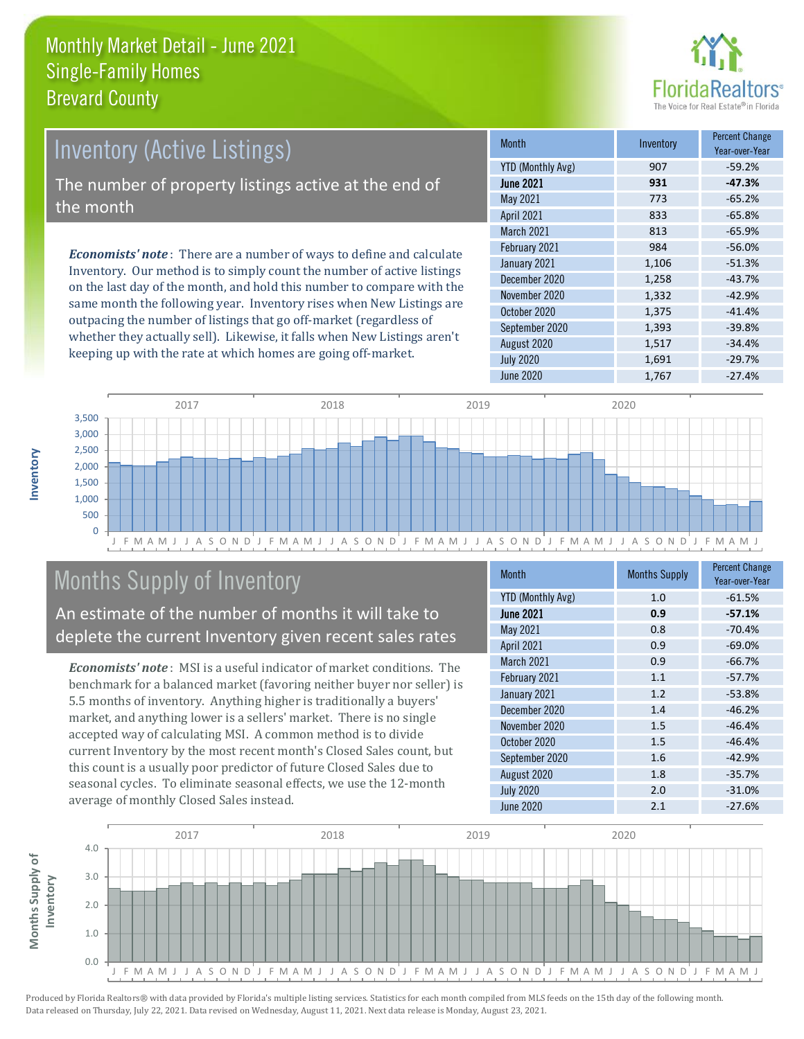![](_page_6_Picture_1.jpeg)

# Inventory (Active Listings)

The number of property listings active at the end of the month

*Economists' note* : There are a number of ways to define and calculate Inventory. Our method is to simply count the number of active listings on the last day of the month, and hold this number to compare with the same month the following year. Inventory rises when New Listings are outpacing the number of listings that go off-market (regardless of whether they actually sell). Likewise, it falls when New Listings aren't keeping up with the rate at which homes are going off-market.

| <b>Month</b>             | Inventory | <b>Percent Change</b><br>Year-over-Year |
|--------------------------|-----------|-----------------------------------------|
| <b>YTD (Monthly Avg)</b> | 907       | $-59.2%$                                |
| <b>June 2021</b>         | 931       | $-47.3%$                                |
| May 2021                 | 773       | $-65.2%$                                |
| <b>April 2021</b>        | 833       | $-65.8%$                                |
| <b>March 2021</b>        | 813       | $-65.9%$                                |
| February 2021            | 984       | $-56.0%$                                |
| January 2021             | 1,106     | $-51.3%$                                |
| December 2020            | 1,258     | $-43.7%$                                |
| November 2020            | 1,332     | $-42.9%$                                |
| October 2020             | 1,375     | $-41.4%$                                |
| September 2020           | 1,393     | $-39.8%$                                |
| August 2020              | 1,517     | $-34.4%$                                |
| <b>July 2020</b>         | 1,691     | $-29.7%$                                |
| June 2020                | 1,767     | $-27.4%$                                |

![](_page_6_Figure_6.jpeg)

# Months Supply of Inventory

An estimate of the number of months it will take to deplete the current Inventory given recent sales rates

*Economists' note* : MSI is a useful indicator of market conditions. The benchmark for a balanced market (favoring neither buyer nor seller) is 5.5 months of inventory. Anything higher is traditionally a buyers' market, and anything lower is a sellers' market. There is no single accepted way of calculating MSI. A common method is to divide current Inventory by the most recent month's Closed Sales count, but this count is a usually poor predictor of future Closed Sales due to seasonal cycles. To eliminate seasonal effects, we use the 12-month average of monthly Closed Sales instead.

| <b>Month</b>             | <b>Months Supply</b> | <b>Percent Change</b><br>Year-over-Year |
|--------------------------|----------------------|-----------------------------------------|
| <b>YTD (Monthly Avg)</b> | 1.0                  | $-61.5%$                                |
| <b>June 2021</b>         | 0.9                  | $-57.1%$                                |
| <b>May 2021</b>          | 0.8                  | $-70.4%$                                |
| April 2021               | 0.9                  | $-69.0%$                                |
| March 2021               | 0.9                  | $-66.7%$                                |
| February 2021            | 1.1                  | $-57.7%$                                |
| January 2021             | 1.2                  | $-53.8%$                                |
| December 2020            | 1.4                  | $-46.2%$                                |
| November 2020            | 1.5                  | $-46.4%$                                |
| October 2020             | 1.5                  | $-46.4%$                                |
| September 2020           | 1.6                  | $-42.9%$                                |
| August 2020              | 1.8                  | $-35.7%$                                |
| <b>July 2020</b>         | 2.0                  | $-31.0%$                                |
| June 2020                | 2.1                  | $-27.6%$                                |

![](_page_6_Figure_11.jpeg)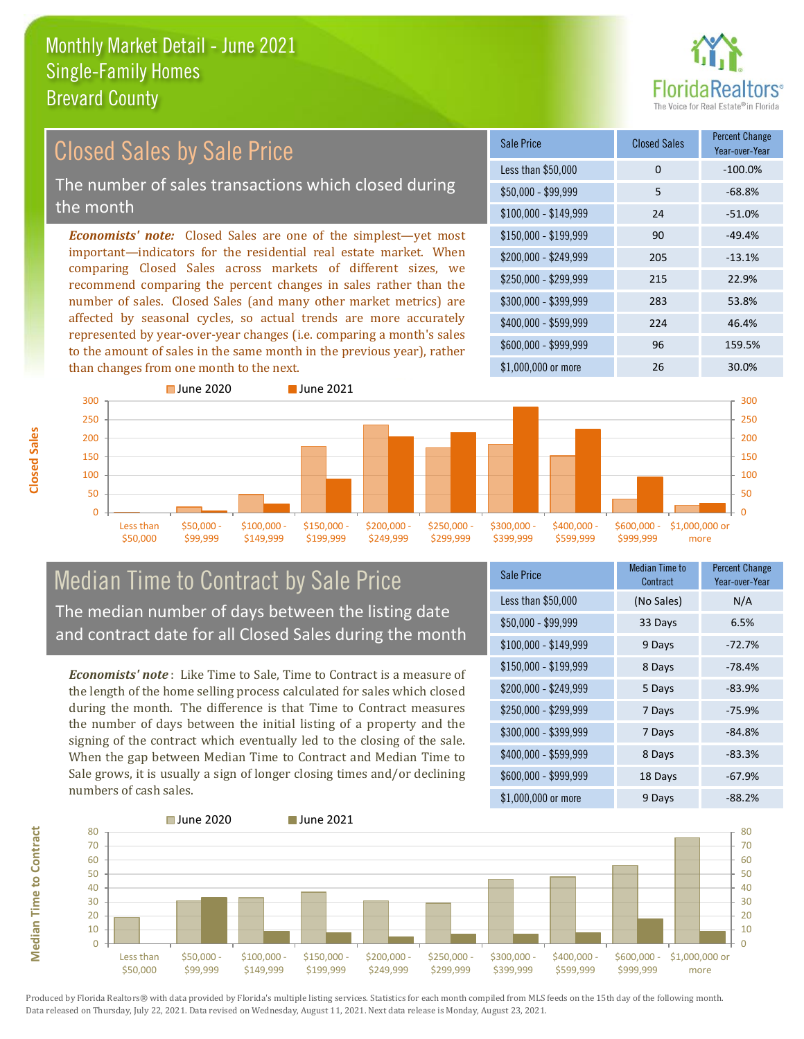![](_page_7_Picture_1.jpeg)

#### *Economists' note:* Closed Sales are one of the simplest—yet most important—indicators for the residential real estate market. When comparing Closed Sales across markets of different sizes, we recommend comparing the percent changes in sales rather than the number of sales. Closed Sales (and many other market metrics) are affected by seasonal cycles, so actual trends are more accurately represented by year-over-year changes (i.e. comparing a month's sales to the amount of sales in the same month in the previous year), rather than changes from one month to the next. \$1,000,000 or more 26 20 30.0% \$250,000 - \$299,999 215 22.9% \$300,000 - \$399,999 283 53.8% \$400,000 - \$599,999 224 46.4% \$600,000 - \$999,999 96 159.5% \$150,000 - \$199,999 90 -49.4% \$200,000 - \$249,999 205 -13.1%  $$100,000 - $149,999$  24 -51.0% Sale Price Closed Sales Percent Change Year-over-Year Less than \$50,000 0 0 -100.0% \$50,000 - \$99,999 5 -68.8% 300 ■ June 2020 **■ June 2021** 300 Closed Sales by Sale Price The number of sales transactions which closed during the month

![](_page_7_Figure_3.jpeg)

### Median Time to Contract by Sale Price The median number of days between the listing date and contract date for all Closed Sales during the month

*Economists' note* : Like Time to Sale, Time to Contract is a measure of the length of the home selling process calculated for sales which closed during the month. The difference is that Time to Contract measures the number of days between the initial listing of a property and the signing of the contract which eventually led to the closing of the sale. When the gap between Median Time to Contract and Median Time to Sale grows, it is usually a sign of longer closing times and/or declining numbers of cash sales.

| <b>Sale Price</b>     | Median Time to<br>Contract | Percent Change<br>Year-over-Year |
|-----------------------|----------------------------|----------------------------------|
| Less than \$50,000    | (No Sales)                 | N/A                              |
| \$50,000 - \$99,999   | 33 Days                    | 6.5%                             |
| $$100,000 - $149,999$ | 9 Days                     | $-72.7%$                         |
| $$150,000 - $199,999$ | 8 Days                     | $-78.4%$                         |
| \$200,000 - \$249,999 | 5 Days                     | $-83.9%$                         |
| \$250,000 - \$299,999 | 7 Days                     | $-75.9%$                         |
| \$300,000 - \$399,999 | 7 Days                     | $-84.8%$                         |
| \$400,000 - \$599,999 | 8 Days                     | $-83.3%$                         |
| \$600,000 - \$999,999 | 18 Days                    | $-67.9%$                         |
| \$1,000,000 or more   | 9 Days                     | -88.2%                           |

![](_page_7_Figure_7.jpeg)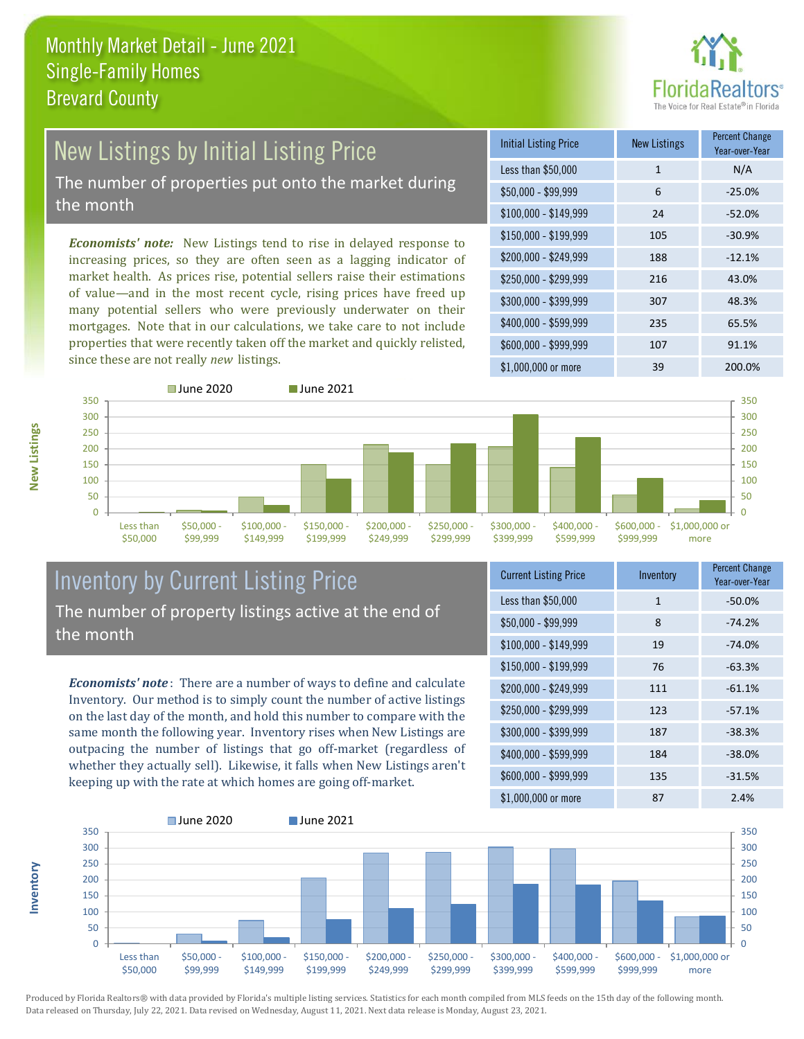![](_page_8_Picture_1.jpeg)

# New Listings by Initial Listing Price

The number of properties put onto the market during the month

*Economists' note:* New Listings tend to rise in delayed response to increasing prices, so they are often seen as a lagging indicator of market health. As prices rise, potential sellers raise their estimations of value—and in the most recent cycle, rising prices have freed up many potential sellers who were previously underwater on their mortgages. Note that in our calculations, we take care to not include properties that were recently taken off the market and quickly relisted, since these are not really *new* listings.

| <b>Initial Listing Price</b> | <b>New Listings</b> | <b>Percent Change</b><br>Year-over-Year |
|------------------------------|---------------------|-----------------------------------------|
| Less than \$50,000           | $\mathbf{1}$        | N/A                                     |
| $$50,000 - $99,999$          | 6                   | $-25.0%$                                |
| $$100,000 - $149,999$        | 24                  | $-52.0%$                                |
| $$150,000 - $199,999$        | 105                 | $-30.9%$                                |
| \$200,000 - \$249,999        | 188                 | $-12.1%$                                |
| \$250,000 - \$299,999        | 216                 | 43.0%                                   |
| \$300,000 - \$399,999        | 307                 | 48.3%                                   |
| \$400,000 - \$599,999        | 235                 | 65.5%                                   |
| \$600,000 - \$999,999        | 107                 | 91.1%                                   |
| $$1,000,000$ or more         | 39                  | 200.0%                                  |

![](_page_8_Figure_6.jpeg)

#### Inventory by Current Listing Price The number of property listings active at the end of the month

*Economists' note* : There are a number of ways to define and calculate Inventory. Our method is to simply count the number of active listings on the last day of the month, and hold this number to compare with the same month the following year. Inventory rises when New Listings are outpacing the number of listings that go off-market (regardless of whether they actually sell). Likewise, it falls when New Listings aren't keeping up with the rate at which homes are going off-market.

| <b>Current Listing Price</b> | Inventory | <b>Percent Change</b><br>Year-over-Year |
|------------------------------|-----------|-----------------------------------------|
| Less than \$50,000           | 1         | $-50.0%$                                |
| $$50,000 - $99,999$          | 8         | $-74.2%$                                |
| $$100,000 - $149,999$        | 19        | $-74.0%$                                |
| $$150,000 - $199,999$        | 76        | $-63.3%$                                |
| \$200,000 - \$249,999        | 111       | $-61.1%$                                |
| \$250,000 - \$299,999        | 123       | $-57.1%$                                |
| \$300,000 - \$399,999        | 187       | $-38.3%$                                |
| \$400,000 - \$599,999        | 184       | $-38.0%$                                |
| \$600,000 - \$999,999        | 135       | $-31.5%$                                |
| \$1,000,000 or more          | 87        | 2.4%                                    |

![](_page_8_Figure_10.jpeg)

Produced by Florida Realtors® with data provided by Florida's multiple listing services. Statistics for each month compiled from MLS feeds on the 15th day of the following month. Data released on Thursday, July 22, 2021. Data revised on Wednesday, August 11, 2021. Next data release is Monday, August 23, 2021.

**Inventory**